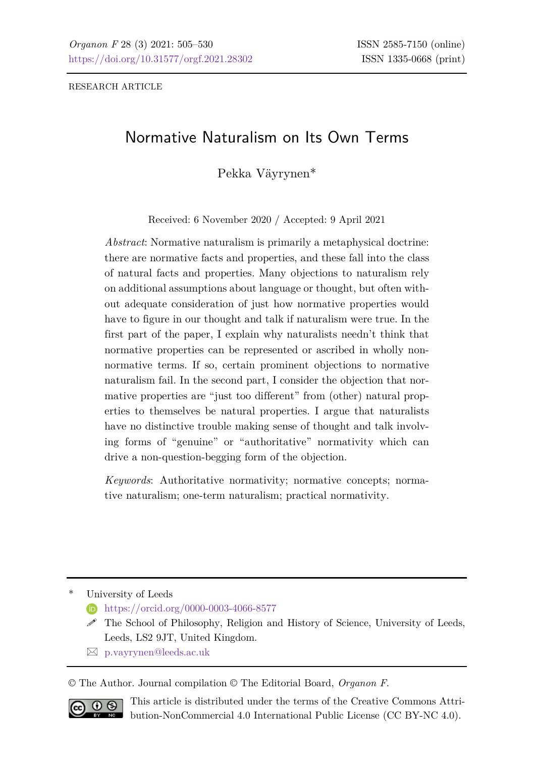# Normative Naturalism on Its Own Terms

Pekka Väyrynen\*

Received: 6 November 2020 / Accepted: 9 April 2021

*Abstract*: Normative naturalism is primarily a metaphysical doctrine: there are normative facts and properties, and these fall into the class of natural facts and properties. Many objections to naturalism rely on additional assumptions about language or thought, but often without adequate consideration of just how normative properties would have to figure in our thought and talk if naturalism were true. In the first part of the paper, I explain why naturalists needn't think that normative properties can be represented or ascribed in wholly nonnormative terms. If so, certain prominent objections to normative naturalism fail. In the second part, I consider the objection that normative properties are "just too different" from (other) natural properties to themselves be natural properties. I argue that naturalists have no distinctive trouble making sense of thought and talk involving forms of "genuine" or "authoritative" normativity which can drive a non-question-begging form of the objection.

*Keywords*: Authoritative normativity; normative concepts; normative naturalism; one-term naturalism; practical normativity.

University of Leeds

**h** <https://orcid.org/0000-0003-4066-8577>

- $\mathscr S$  The School of Philosophy, Religion and History of Science, University of Leeds, Leeds, LS2 9JT, United Kingdom.
- [p.vayrynen@leeds.ac.uk](mailto:p.vayrynen@leeds.ac.uk?subject=p.vayrynen@leeds.ac.uk)

© The Author. Journal compilation © The Editorial Board, *Organon F*.



This article is distributed under the terms of the Creative Commons Attribution-NonCommercial 4.0 International Public License (CC BY-NC 4.0).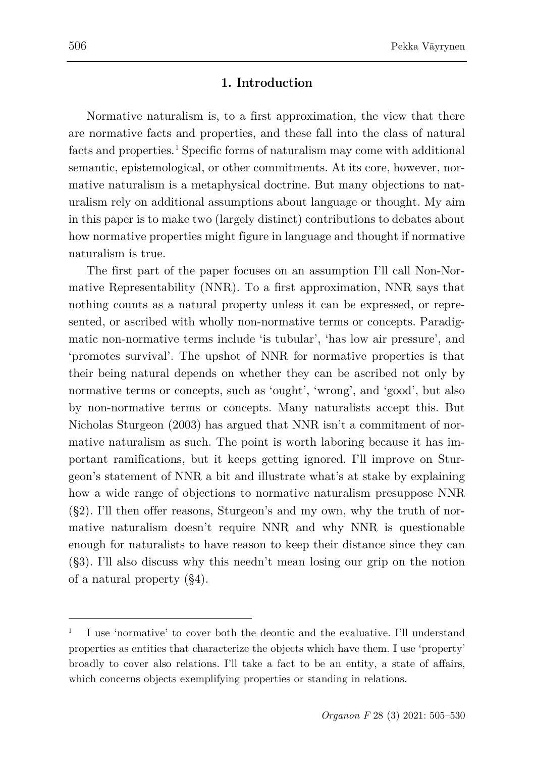## **1. Introduction**

Normative naturalism is, to a first approximation, the view that there are normative facts and properties, and these fall into the class of natural facts and properties.<sup>[1](#page-1-0)</sup> Specific forms of naturalism may come with additional semantic, epistemological, or other commitments. At its core, however, normative naturalism is a metaphysical doctrine. But many objections to naturalism rely on additional assumptions about language or thought. My aim in this paper is to make two (largely distinct) contributions to debates about how normative properties might figure in language and thought if normative naturalism is true.

The first part of the paper focuses on an assumption I'll call Non-Normative Representability (NNR). To a first approximation, NNR says that nothing counts as a natural property unless it can be expressed, or represented, or ascribed with wholly non-normative terms or concepts. Paradigmatic non-normative terms include 'is tubular', 'has low air pressure', and 'promotes survival'. The upshot of NNR for normative properties is that their being natural depends on whether they can be ascribed not only by normative terms or concepts, such as 'ought', 'wrong', and 'good', but also by non-normative terms or concepts. Many naturalists accept this. But Nicholas Sturgeon (2003) has argued that NNR isn't a commitment of normative naturalism as such. The point is worth laboring because it has important ramifications, but it keeps getting ignored. I'll improve on Sturgeon's statement of NNR a bit and illustrate what's at stake by explaining how a wide range of objections to normative naturalism presuppose NNR (§2). I'll then offer reasons, Sturgeon's and my own, why the truth of normative naturalism doesn't require NNR and why NNR is questionable enough for naturalists to have reason to keep their distance since they can (§3). I'll also discuss why this needn't mean losing our grip on the notion of a natural property (§4).

<span id="page-1-0"></span><sup>1</sup> I use 'normative' to cover both the deontic and the evaluative. I'll understand properties as entities that characterize the objects which have them. I use 'property' broadly to cover also relations. I'll take a fact to be an entity, a state of affairs, which concerns objects exemplifying properties or standing in relations.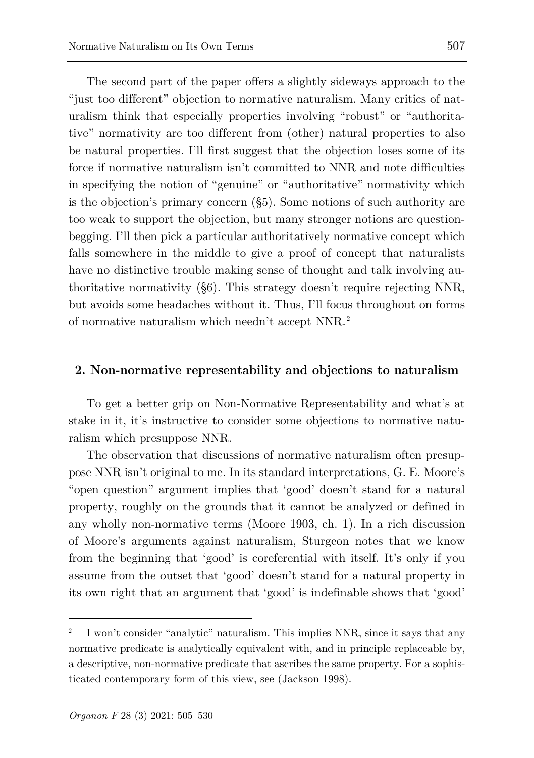The second part of the paper offers a slightly sideways approach to the "just too different" objection to normative naturalism. Many critics of naturalism think that especially properties involving "robust" or "authoritative" normativity are too different from (other) natural properties to also be natural properties. I'll first suggest that the objection loses some of its force if normative naturalism isn't committed to NNR and note difficulties in specifying the notion of "genuine" or "authoritative" normativity which is the objection's primary concern (§5). Some notions of such authority are too weak to support the objection, but many stronger notions are questionbegging. I'll then pick a particular authoritatively normative concept which falls somewhere in the middle to give a proof of concept that naturalists have no distinctive trouble making sense of thought and talk involving authoritative normativity (§6). This strategy doesn't require rejecting NNR, but avoids some headaches without it. Thus, I'll focus throughout on forms of normative naturalism which needn't accept NNR.[2](#page-2-0)

#### **2. Non-normative representability and objections to naturalism**

To get a better grip on Non-Normative Representability and what's at stake in it, it's instructive to consider some objections to normative naturalism which presuppose NNR.

The observation that discussions of normative naturalism often presuppose NNR isn't original to me. In its standard interpretations, G. E. Moore's "open question" argument implies that 'good' doesn't stand for a natural property, roughly on the grounds that it cannot be analyzed or defined in any wholly non-normative terms (Moore 1903, ch. 1). In a rich discussion of Moore's arguments against naturalism, Sturgeon notes that we know from the beginning that 'good' is coreferential with itself. It's only if you assume from the outset that 'good' doesn't stand for a natural property in its own right that an argument that 'good' is indefinable shows that 'good'

<span id="page-2-0"></span><sup>2</sup> I won't consider "analytic" naturalism. This implies NNR, since it says that any normative predicate is analytically equivalent with, and in principle replaceable by, a descriptive, non-normative predicate that ascribes the same property. For a sophisticated contemporary form of this view, see (Jackson 1998).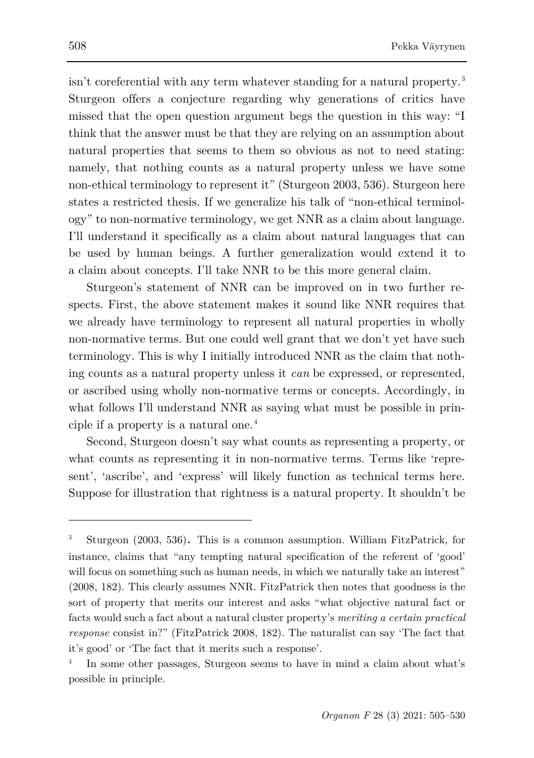isn't coreferential with any term whatever standing for a natural property.<sup>[3](#page-3-0)</sup> Sturgeon offers a conjecture regarding why generations of critics have missed that the open question argument begs the question in this way: "I think that the answer must be that they are relying on an assumption about natural properties that seems to them so obvious as not to need stating: namely, that nothing counts as a natural property unless we have some non-ethical terminology to represent it" (Sturgeon 2003, 536). Sturgeon here states a restricted thesis. If we generalize his talk of "non-ethical terminology" to non-normative terminology, we get NNR as a claim about language. I'll understand it specifically as a claim about natural languages that can be used by human beings. A further generalization would extend it to a claim about concepts. I'll take NNR to be this more general claim.

Sturgeon's statement of NNR can be improved on in two further respects. First, the above statement makes it sound like NNR requires that we already have terminology to represent all natural properties in wholly non-normative terms. But one could well grant that we don't yet have such terminology. This is why I initially introduced NNR as the claim that nothing counts as a natural property unless it *can* be expressed, or represented, or ascribed using wholly non-normative terms or concepts. Accordingly, in what follows I'll understand NNR as saying what must be possible in prin-ciple if a property is a natural one.<sup>[4](#page-3-1)</sup>

Second, Sturgeon doesn't say what counts as representing a property, or what counts as representing it in non-normative terms. Terms like 'represent', 'ascribe', and 'express' will likely function as technical terms here. Suppose for illustration that rightness is a natural property. It shouldn't be

<span id="page-3-0"></span><sup>3</sup> Sturgeon (2003, 536). This is a common assumption. William FitzPatrick, for instance, claims that "any tempting natural specification of the referent of 'good' will focus on something such as human needs, in which we naturally take an interest" (2008, 182). This clearly assumes NNR. FitzPatrick then notes that goodness is the sort of property that merits our interest and asks "what objective natural fact or facts would such a fact about a natural cluster property's *meriting a certain practical response* consist in?" (FitzPatrick 2008, 182). The naturalist can say 'The fact that it's good' or 'The fact that it merits such a response'.

<span id="page-3-1"></span>In some other passages, Sturgeon seems to have in mind a claim about what's possible in principle.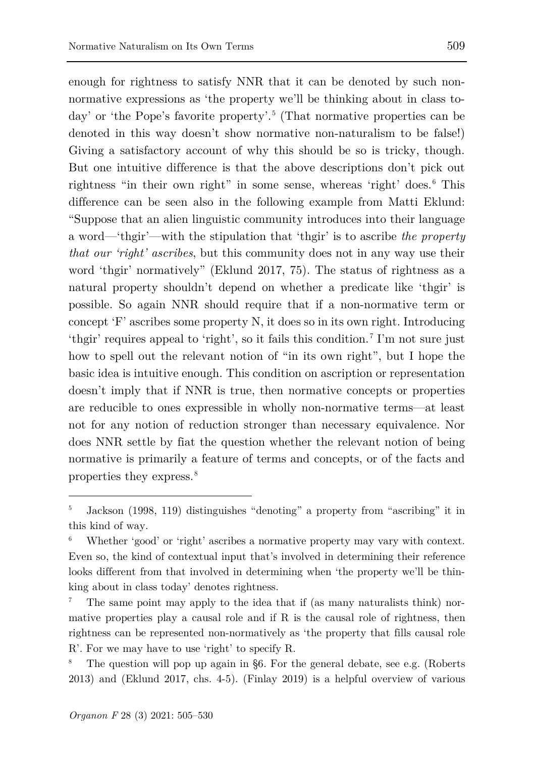enough for rightness to satisfy NNR that it can be denoted by such nonnormative expressions as 'the property we'll be thinking about in class to-day' or 'the Pope's favorite property'.<sup>[5](#page-4-0)</sup> (That normative properties can be denoted in this way doesn't show normative non-naturalism to be false!) Giving a satisfactory account of why this should be so is tricky, though. But one intuitive difference is that the above descriptions don't pick out rightness "in their own right" in some sense, whereas 'right' does.<sup>[6](#page-4-1)</sup> This difference can be seen also in the following example from Matti Eklund: "Suppose that an alien linguistic community introduces into their language a word—'thgir'—with the stipulation that 'thgir' is to ascribe *the property that our 'right' ascribes*, but this community does not in any way use their word 'thgir' normatively" (Eklund 2017, 75). The status of rightness as a natural property shouldn't depend on whether a predicate like 'thgir' is possible. So again NNR should require that if a non-normative term or concept 'F' ascribes some property N, it does so in its own right. Introducing 'thgir' requires appeal to 'right', so it fails this condition. [7](#page-4-2) I'm not sure just how to spell out the relevant notion of "in its own right", but I hope the basic idea is intuitive enough. This condition on ascription or representation doesn't imply that if NNR is true, then normative concepts or properties are reducible to ones expressible in wholly non-normative terms—at least not for any notion of reduction stronger than necessary equivalence. Nor does NNR settle by fiat the question whether the relevant notion of being normative is primarily a feature of terms and concepts, or of the facts and properties they express.[8](#page-4-3)

<span id="page-4-0"></span><sup>5</sup> Jackson (1998, 119) distinguishes "denoting" a property from "ascribing" it in this kind of way.

<span id="page-4-1"></span>Whether 'good' or 'right' ascribes a normative property may vary with context. Even so, the kind of contextual input that's involved in determining their reference looks different from that involved in determining when 'the property we'll be thinking about in class today' denotes rightness.

<span id="page-4-2"></span>The same point may apply to the idea that if (as many naturalists think) normative properties play a causal role and if R is the causal role of rightness, then rightness can be represented non-normatively as 'the property that fills causal role R'. For we may have to use 'right' to specify R.

<span id="page-4-3"></span>The question will pop up again in §6. For the general debate, see e.g. (Roberts 2013) and (Eklund 2017, chs. 4-5). (Finlay 2019) is a helpful overview of various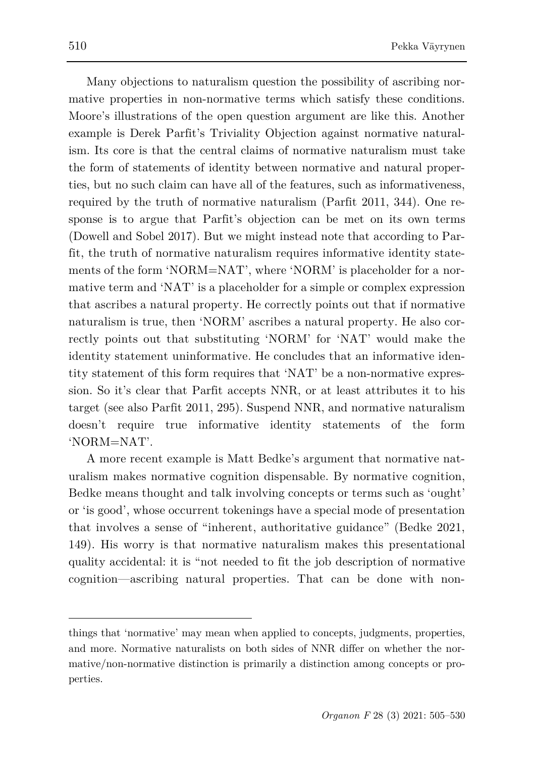Many objections to naturalism question the possibility of ascribing normative properties in non-normative terms which satisfy these conditions. Moore's illustrations of the open question argument are like this. Another example is Derek Parfit's Triviality Objection against normative naturalism. Its core is that the central claims of normative naturalism must take the form of statements of identity between normative and natural properties, but no such claim can have all of the features, such as informativeness, required by the truth of normative naturalism (Parfit 2011, 344). One response is to argue that Parfit's objection can be met on its own terms (Dowell and Sobel 2017). But we might instead note that according to Parfit, the truth of normative naturalism requires informative identity statements of the form 'NORM=NAT', where 'NORM' is placeholder for a normative term and 'NAT' is a placeholder for a simple or complex expression that ascribes a natural property. He correctly points out that if normative naturalism is true, then 'NORM' ascribes a natural property. He also correctly points out that substituting 'NORM' for 'NAT' would make the identity statement uninformative. He concludes that an informative identity statement of this form requires that 'NAT' be a non-normative expression. So it's clear that Parfit accepts NNR, or at least attributes it to his target (see also Parfit 2011, 295). Suspend NNR, and normative naturalism doesn't require true informative identity statements of the form 'NORM=NAT'.

A more recent example is Matt Bedke's argument that normative naturalism makes normative cognition dispensable. By normative cognition, Bedke means thought and talk involving concepts or terms such as 'ought' or 'is good', whose occurrent tokenings have a special mode of presentation that involves a sense of "inherent, authoritative guidance" (Bedke 2021, 149). His worry is that normative naturalism makes this presentational quality accidental: it is "not needed to fit the job description of normative cognition—ascribing natural properties. That can be done with non-

things that 'normative' may mean when applied to concepts, judgments, properties, and more. Normative naturalists on both sides of NNR differ on whether the normative/non-normative distinction is primarily a distinction among concepts or properties.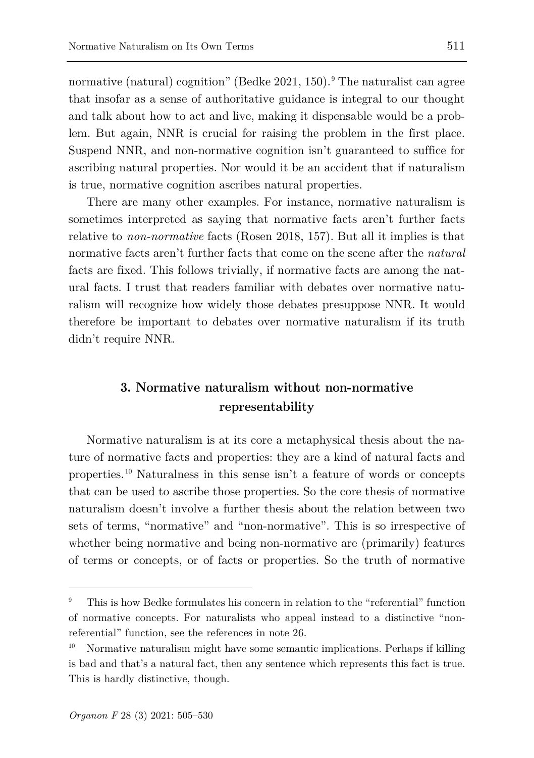normative (natural) cognition" (Bedke 2021, 150). The naturalist can agree that insofar as a sense of authoritative guidance is integral to our thought and talk about how to act and live, making it dispensable would be a problem. But again, NNR is crucial for raising the problem in the first place. Suspend NNR, and non-normative cognition isn't guaranteed to suffice for ascribing natural properties. Nor would it be an accident that if naturalism is true, normative cognition ascribes natural properties.

There are many other examples. For instance, normative naturalism is sometimes interpreted as saying that normative facts aren't further facts relative to *non-normative* facts (Rosen 2018, 157). But all it implies is that normative facts aren't further facts that come on the scene after the *natural* facts are fixed. This follows trivially, if normative facts are among the natural facts. I trust that readers familiar with debates over normative naturalism will recognize how widely those debates presuppose NNR. It would therefore be important to debates over normative naturalism if its truth didn't require NNR.

# **3. Normative naturalism without non-normative representability**

Normative naturalism is at its core a metaphysical thesis about the nature of normative facts and properties: they are a kind of natural facts and properties.[10](#page-6-1) Naturalness in this sense isn't a feature of words or concepts that can be used to ascribe those properties. So the core thesis of normative naturalism doesn't involve a further thesis about the relation between two sets of terms, "normative" and "non-normative". This is so irrespective of whether being normative and being non-normative are (primarily) features of terms or concepts, or of facts or properties. So the truth of normative

<span id="page-6-0"></span><sup>9</sup> This is how Bedke formulates his concern in relation to the "referential" function of normative concepts. For naturalists who appeal instead to a distinctive "nonreferential" function, see the references in note 26.

<span id="page-6-1"></span><sup>10</sup> Normative naturalism might have some semantic implications. Perhaps if killing is bad and that's a natural fact, then any sentence which represents this fact is true. This is hardly distinctive, though.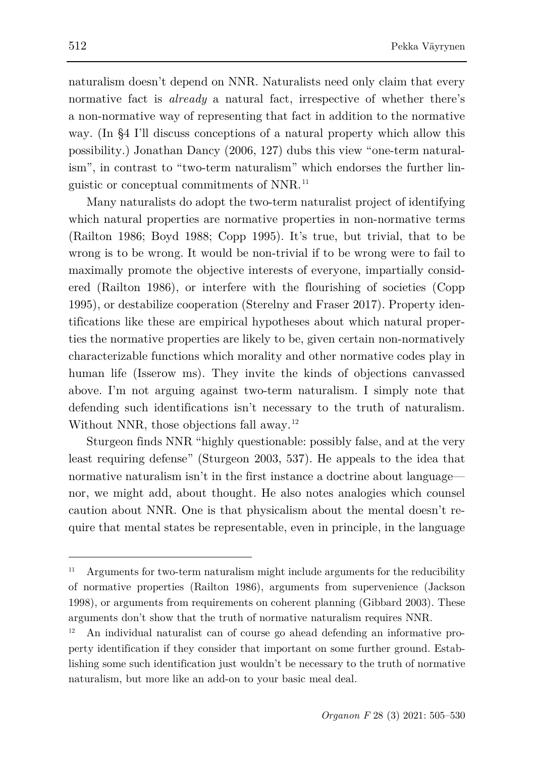naturalism doesn't depend on NNR. Naturalists need only claim that every normative fact is *already* a natural fact, irrespective of whether there's a non-normative way of representing that fact in addition to the normative way. (In §4 I'll discuss conceptions of a natural property which allow this possibility.) Jonathan Dancy (2006, 127) dubs this view "one-term naturalism", in contrast to "two-term naturalism" which endorses the further linguistic or conceptual commitments of NNR.[11](#page-7-0)

Many naturalists do adopt the two-term naturalist project of identifying which natural properties are normative properties in non-normative terms (Railton 1986; Boyd 1988; Copp 1995). It's true, but trivial, that to be wrong is to be wrong. It would be non-trivial if to be wrong were to fail to maximally promote the objective interests of everyone, impartially considered (Railton 1986), or interfere with the flourishing of societies (Copp 1995), or destabilize cooperation (Sterelny and Fraser 2017). Property identifications like these are empirical hypotheses about which natural properties the normative properties are likely to be, given certain non-normatively characterizable functions which morality and other normative codes play in human life (Isserow ms). They invite the kinds of objections canvassed above. I'm not arguing against two-term naturalism. I simply note that defending such identifications isn't necessary to the truth of naturalism. Without NNR, those objections fall away.<sup>[12](#page-7-1)</sup>

Sturgeon finds NNR "highly questionable: possibly false, and at the very least requiring defense" (Sturgeon 2003, 537). He appeals to the idea that normative naturalism isn't in the first instance a doctrine about language nor, we might add, about thought. He also notes analogies which counsel caution about NNR. One is that physicalism about the mental doesn't require that mental states be representable, even in principle, in the language

<span id="page-7-0"></span> $11$  Arguments for two-term naturalism might include arguments for the reducibility of normative properties (Railton 1986), arguments from supervenience (Jackson 1998), or arguments from requirements on coherent planning (Gibbard 2003). These arguments don't show that the truth of normative naturalism requires NNR.

<span id="page-7-1"></span><sup>12</sup> An individual naturalist can of course go ahead defending an informative property identification if they consider that important on some further ground. Establishing some such identification just wouldn't be necessary to the truth of normative naturalism, but more like an add-on to your basic meal deal.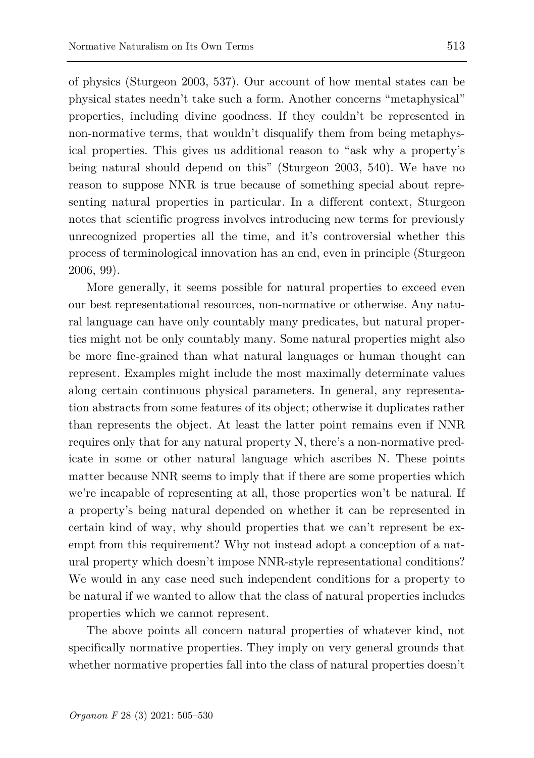of physics (Sturgeon 2003, 537). Our account of how mental states can be physical states needn't take such a form. Another concerns "metaphysical" properties, including divine goodness. If they couldn't be represented in non-normative terms, that wouldn't disqualify them from being metaphysical properties. This gives us additional reason to "ask why a property's being natural should depend on this" (Sturgeon 2003, 540). We have no reason to suppose NNR is true because of something special about representing natural properties in particular. In a different context, Sturgeon notes that scientific progress involves introducing new terms for previously unrecognized properties all the time, and it's controversial whether this process of terminological innovation has an end, even in principle (Sturgeon 2006, 99).

More generally, it seems possible for natural properties to exceed even our best representational resources, non-normative or otherwise. Any natural language can have only countably many predicates, but natural properties might not be only countably many. Some natural properties might also be more fine-grained than what natural languages or human thought can represent. Examples might include the most maximally determinate values along certain continuous physical parameters. In general, any representation abstracts from some features of its object; otherwise it duplicates rather than represents the object. At least the latter point remains even if NNR requires only that for any natural property N, there's a non-normative predicate in some or other natural language which ascribes N. These points matter because NNR seems to imply that if there are some properties which we're incapable of representing at all, those properties won't be natural. If a property's being natural depended on whether it can be represented in certain kind of way, why should properties that we can't represent be exempt from this requirement? Why not instead adopt a conception of a natural property which doesn't impose NNR-style representational conditions? We would in any case need such independent conditions for a property to be natural if we wanted to allow that the class of natural properties includes properties which we cannot represent.

The above points all concern natural properties of whatever kind, not specifically normative properties. They imply on very general grounds that whether normative properties fall into the class of natural properties doesn't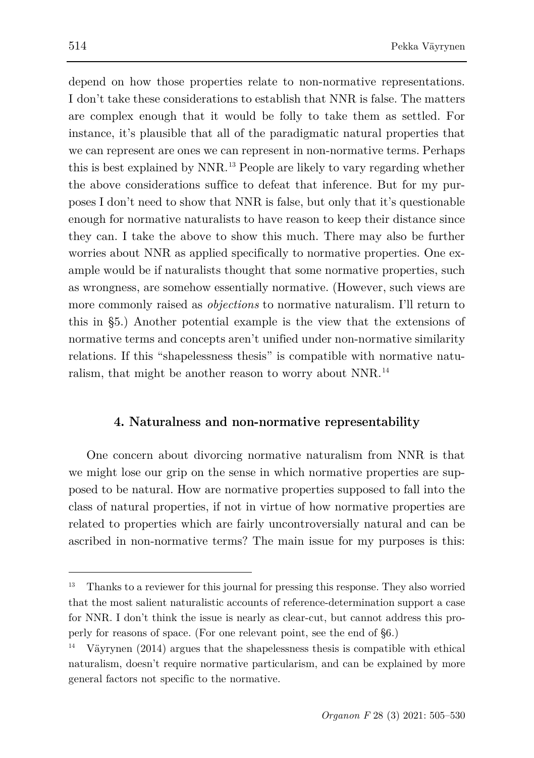depend on how those properties relate to non-normative representations. I don't take these considerations to establish that NNR is false. The matters are complex enough that it would be folly to take them as settled. For instance, it's plausible that all of the paradigmatic natural properties that we can represent are ones we can represent in non-normative terms. Perhaps this is best explained by NNR.[13](#page-9-0) People are likely to vary regarding whether the above considerations suffice to defeat that inference. But for my purposes I don't need to show that NNR is false, but only that it's questionable enough for normative naturalists to have reason to keep their distance since they can. I take the above to show this much. There may also be further worries about NNR as applied specifically to normative properties. One example would be if naturalists thought that some normative properties, such as wrongness, are somehow essentially normative. (However, such views are more commonly raised as *objections* to normative naturalism. I'll return to this in §5.) Another potential example is the view that the extensions of normative terms and concepts aren't unified under non-normative similarity relations. If this "shapelessness thesis" is compatible with normative naturalism, that might be another reason to worry about NNR.[14](#page-9-1)

#### **4. Naturalness and non-normative representability**

One concern about divorcing normative naturalism from NNR is that we might lose our grip on the sense in which normative properties are supposed to be natural. How are normative properties supposed to fall into the class of natural properties, if not in virtue of how normative properties are related to properties which are fairly uncontroversially natural and can be ascribed in non-normative terms? The main issue for my purposes is this:

<span id="page-9-0"></span><sup>13</sup> Thanks to a reviewer for this journal for pressing this response. They also worried that the most salient naturalistic accounts of reference-determination support a case for NNR. I don't think the issue is nearly as clear-cut, but cannot address this properly for reasons of space. (For one relevant point, see the end of §6.)

<span id="page-9-1"></span><sup>14</sup> Väyrynen (2014) argues that the shapelessness thesis is compatible with ethical naturalism, doesn't require normative particularism, and can be explained by more general factors not specific to the normative.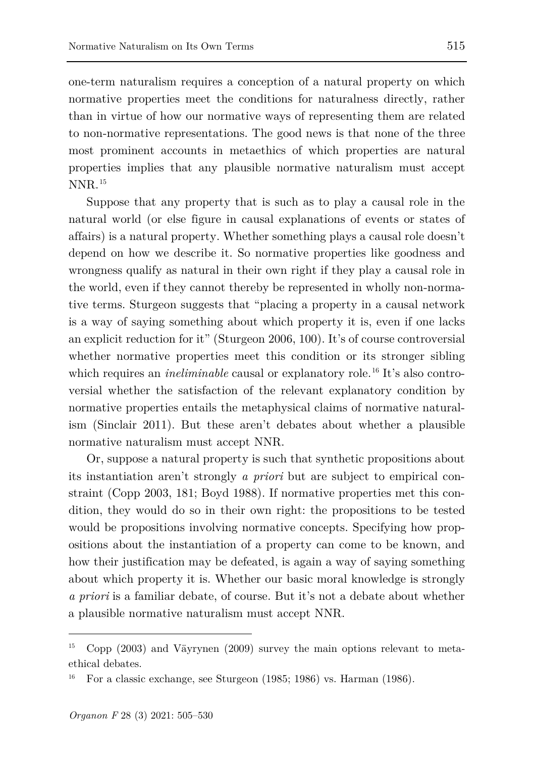one-term naturalism requires a conception of a natural property on which normative properties meet the conditions for naturalness directly, rather than in virtue of how our normative ways of representing them are related to non-normative representations. The good news is that none of the three most prominent accounts in metaethics of which properties are natural properties implies that any plausible normative naturalism must accept NNR.[15](#page-10-0)

Suppose that any property that is such as to play a causal role in the natural world (or else figure in causal explanations of events or states of affairs) is a natural property. Whether something plays a causal role doesn't depend on how we describe it. So normative properties like goodness and wrongness qualify as natural in their own right if they play a causal role in the world, even if they cannot thereby be represented in wholly non-normative terms. Sturgeon suggests that "placing a property in a causal network is a way of saying something about which property it is, even if one lacks an explicit reduction for it" (Sturgeon 2006, 100). It's of course controversial whether normative properties meet this condition or its stronger sibling which requires an *ineliminable* causal or explanatory role.<sup>[16](#page-10-1)</sup> It's also controversial whether the satisfaction of the relevant explanatory condition by normative properties entails the metaphysical claims of normative naturalism (Sinclair 2011). But these aren't debates about whether a plausible normative naturalism must accept NNR.

Or, suppose a natural property is such that synthetic propositions about its instantiation aren't strongly *a priori* but are subject to empirical constraint (Copp 2003, 181; Boyd 1988). If normative properties met this condition, they would do so in their own right: the propositions to be tested would be propositions involving normative concepts. Specifying how propositions about the instantiation of a property can come to be known, and how their justification may be defeated, is again a way of saying something about which property it is. Whether our basic moral knowledge is strongly *a priori* is a familiar debate, of course. But it's not a debate about whether a plausible normative naturalism must accept NNR.

<span id="page-10-0"></span><sup>15</sup> Copp (2003) and Väyrynen (2009) survey the main options relevant to metaethical debates.

<span id="page-10-1"></span>For a classic exchange, see Sturgeon (1985; 1986) vs. Harman (1986).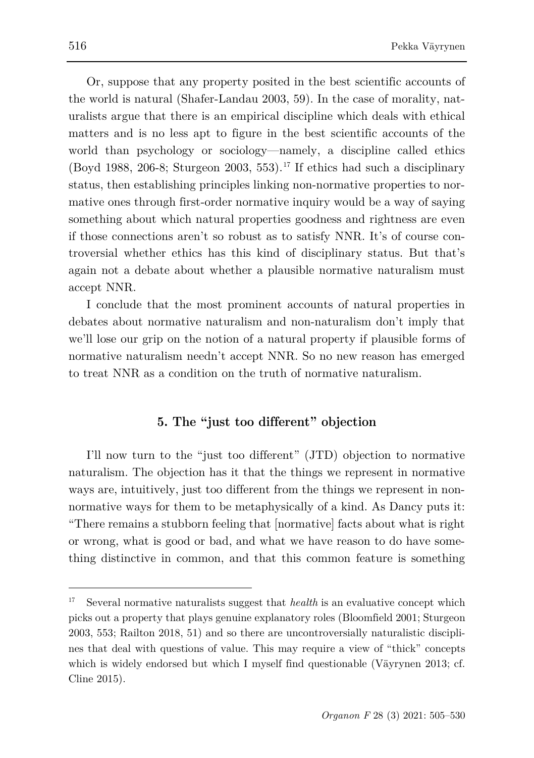Or, suppose that any property posited in the best scientific accounts of the world is natural (Shafer-Landau 2003, 59). In the case of morality, naturalists argue that there is an empirical discipline which deals with ethical matters and is no less apt to figure in the best scientific accounts of the world than psychology or sociology—namely, a discipline called ethics (Boyd 1988, 206-8; Sturgeon 2003, 553).<sup>[17](#page-11-0)</sup> If ethics had such a disciplinary status, then establishing principles linking non-normative properties to normative ones through first-order normative inquiry would be a way of saying something about which natural properties goodness and rightness are even if those connections aren't so robust as to satisfy NNR. It's of course controversial whether ethics has this kind of disciplinary status. But that's again not a debate about whether a plausible normative naturalism must accept NNR.

I conclude that the most prominent accounts of natural properties in debates about normative naturalism and non-naturalism don't imply that we'll lose our grip on the notion of a natural property if plausible forms of normative naturalism needn't accept NNR. So no new reason has emerged to treat NNR as a condition on the truth of normative naturalism.

## **5. The "just too different" objection**

I'll now turn to the "just too different" (JTD) objection to normative naturalism. The objection has it that the things we represent in normative ways are, intuitively, just too different from the things we represent in nonnormative ways for them to be metaphysically of a kind. As Dancy puts it: "There remains a stubborn feeling that [normative] facts about what is right or wrong, what is good or bad, and what we have reason to do have something distinctive in common, and that this common feature is something

<span id="page-11-0"></span><sup>&</sup>lt;sup>17</sup> Several normative naturalists suggest that *health* is an evaluative concept which picks out a property that plays genuine explanatory roles (Bloomfield 2001; Sturgeon 2003, 553; Railton 2018, 51) and so there are uncontroversially naturalistic disciplines that deal with questions of value. This may require a view of "thick" concepts which is widely endorsed but which I myself find questionable (Väyrynen 2013; cf. Cline 2015).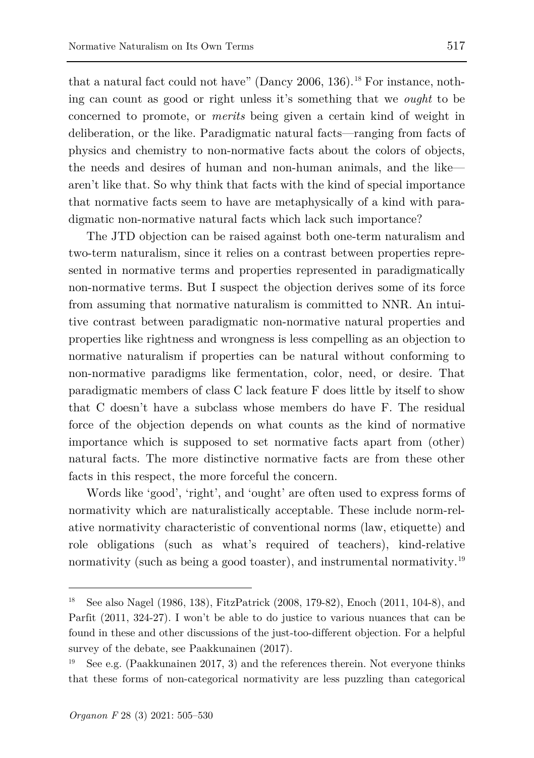that a natural fact could not have" (Dancy 2006, 136).<sup>[18](#page-12-0)</sup> For instance, nothing can count as good or right unless it's something that we *ought* to be concerned to promote, or *merits* being given a certain kind of weight in deliberation, or the like. Paradigmatic natural facts—ranging from facts of physics and chemistry to non-normative facts about the colors of objects, the needs and desires of human and non-human animals, and the like aren't like that. So why think that facts with the kind of special importance that normative facts seem to have are metaphysically of a kind with paradigmatic non-normative natural facts which lack such importance?

The JTD objection can be raised against both one-term naturalism and two-term naturalism, since it relies on a contrast between properties represented in normative terms and properties represented in paradigmatically non-normative terms. But I suspect the objection derives some of its force from assuming that normative naturalism is committed to NNR. An intuitive contrast between paradigmatic non-normative natural properties and properties like rightness and wrongness is less compelling as an objection to normative naturalism if properties can be natural without conforming to non-normative paradigms like fermentation, color, need, or desire. That paradigmatic members of class C lack feature F does little by itself to show that C doesn't have a subclass whose members do have F. The residual force of the objection depends on what counts as the kind of normative importance which is supposed to set normative facts apart from (other) natural facts. The more distinctive normative facts are from these other facts in this respect, the more forceful the concern.

Words like 'good', 'right', and 'ought' are often used to express forms of normativity which are naturalistically acceptable. These include norm-relative normativity characteristic of conventional norms (law, etiquette) and role obligations (such as what's required of teachers), kind-relative normativity (such as being a good toaster), and instrumental normativity.<sup>[19](#page-12-1)</sup>

<span id="page-12-0"></span><sup>18</sup> See also Nagel (1986, 138), FitzPatrick (2008, 179-82), Enoch (2011, 104-8), and Parfit (2011, 324-27). I won't be able to do justice to various nuances that can be found in these and other discussions of the just-too-different objection. For a helpful survey of the debate, see Paakkunainen (2017).

<span id="page-12-1"></span><sup>19</sup> See e.g. (Paakkunainen 2017, 3) and the references therein. Not everyone thinks that these forms of non-categorical normativity are less puzzling than categorical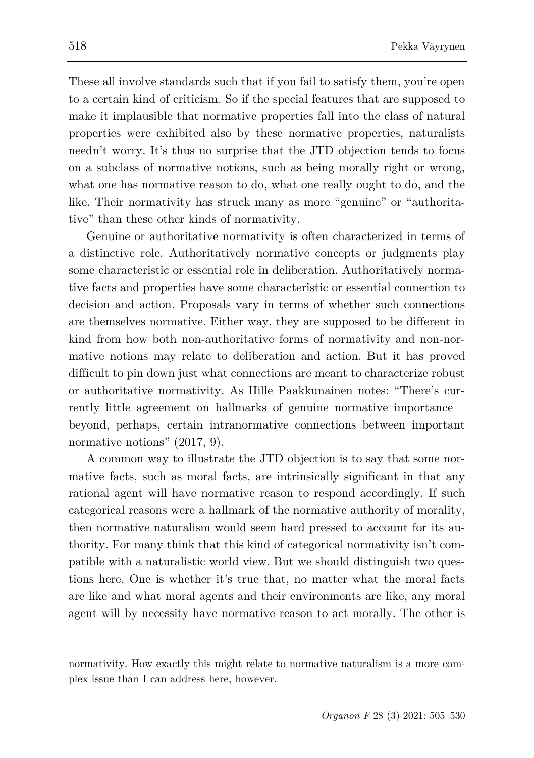These all involve standards such that if you fail to satisfy them, you're open to a certain kind of criticism. So if the special features that are supposed to make it implausible that normative properties fall into the class of natural properties were exhibited also by these normative properties, naturalists needn't worry. It's thus no surprise that the JTD objection tends to focus on a subclass of normative notions, such as being morally right or wrong, what one has normative reason to do, what one really ought to do, and the like. Their normativity has struck many as more "genuine" or "authoritative" than these other kinds of normativity.

Genuine or authoritative normativity is often characterized in terms of a distinctive role. Authoritatively normative concepts or judgments play some characteristic or essential role in deliberation. Authoritatively normative facts and properties have some characteristic or essential connection to decision and action. Proposals vary in terms of whether such connections are themselves normative. Either way, they are supposed to be different in kind from how both non-authoritative forms of normativity and non-normative notions may relate to deliberation and action. But it has proved difficult to pin down just what connections are meant to characterize robust or authoritative normativity. As Hille Paakkunainen notes: "There's currently little agreement on hallmarks of genuine normative importance beyond, perhaps, certain intranormative connections between important normative notions" (2017, 9).

A common way to illustrate the JTD objection is to say that some normative facts, such as moral facts, are intrinsically significant in that any rational agent will have normative reason to respond accordingly. If such categorical reasons were a hallmark of the normative authority of morality, then normative naturalism would seem hard pressed to account for its authority. For many think that this kind of categorical normativity isn't compatible with a naturalistic world view. But we should distinguish two questions here. One is whether it's true that, no matter what the moral facts are like and what moral agents and their environments are like, any moral agent will by necessity have normative reason to act morally. The other is

normativity. How exactly this might relate to normative naturalism is a more complex issue than I can address here, however.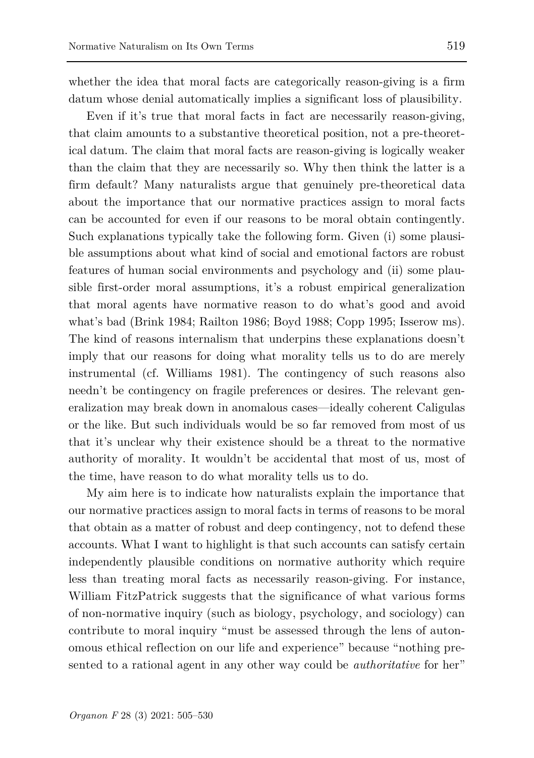whether the idea that moral facts are categorically reason-giving is a firm datum whose denial automatically implies a significant loss of plausibility.

Even if it's true that moral facts in fact are necessarily reason-giving, that claim amounts to a substantive theoretical position, not a pre-theoretical datum. The claim that moral facts are reason-giving is logically weaker than the claim that they are necessarily so. Why then think the latter is a firm default? Many naturalists argue that genuinely pre-theoretical data about the importance that our normative practices assign to moral facts can be accounted for even if our reasons to be moral obtain contingently. Such explanations typically take the following form. Given (i) some plausible assumptions about what kind of social and emotional factors are robust features of human social environments and psychology and (ii) some plausible first-order moral assumptions, it's a robust empirical generalization that moral agents have normative reason to do what's good and avoid what's bad (Brink 1984; Railton 1986; Boyd 1988; Copp 1995; Isserow ms). The kind of reasons internalism that underpins these explanations doesn't imply that our reasons for doing what morality tells us to do are merely instrumental (cf. Williams 1981). The contingency of such reasons also needn't be contingency on fragile preferences or desires. The relevant generalization may break down in anomalous cases—ideally coherent Caligulas or the like. But such individuals would be so far removed from most of us that it's unclear why their existence should be a threat to the normative authority of morality. It wouldn't be accidental that most of us, most of the time, have reason to do what morality tells us to do.

My aim here is to indicate how naturalists explain the importance that our normative practices assign to moral facts in terms of reasons to be moral that obtain as a matter of robust and deep contingency, not to defend these accounts. What I want to highlight is that such accounts can satisfy certain independently plausible conditions on normative authority which require less than treating moral facts as necessarily reason-giving. For instance, William FitzPatrick suggests that the significance of what various forms of non-normative inquiry (such as biology, psychology, and sociology) can contribute to moral inquiry "must be assessed through the lens of autonomous ethical reflection on our life and experience" because "nothing presented to a rational agent in any other way could be *authoritative* for her"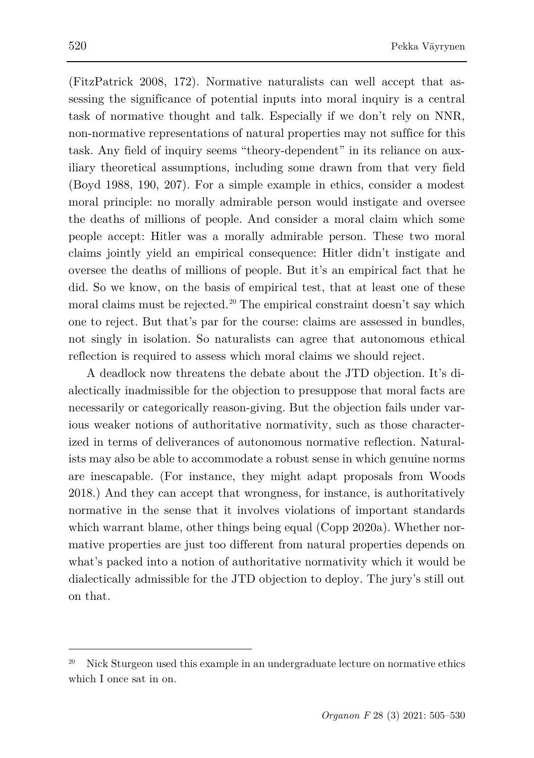(FitzPatrick 2008, 172). Normative naturalists can well accept that assessing the significance of potential inputs into moral inquiry is a central task of normative thought and talk. Especially if we don't rely on NNR, non-normative representations of natural properties may not suffice for this task. Any field of inquiry seems "theory-dependent" in its reliance on auxiliary theoretical assumptions, including some drawn from that very field (Boyd 1988, 190, 207). For a simple example in ethics, consider a modest moral principle: no morally admirable person would instigate and oversee the deaths of millions of people. And consider a moral claim which some people accept: Hitler was a morally admirable person. These two moral claims jointly yield an empirical consequence: Hitler didn't instigate and oversee the deaths of millions of people. But it's an empirical fact that he did. So we know, on the basis of empirical test, that at least one of these moral claims must be rejected.<sup>[20](#page-15-0)</sup> The empirical constraint doesn't say which one to reject. But that's par for the course: claims are assessed in bundles, not singly in isolation. So naturalists can agree that autonomous ethical reflection is required to assess which moral claims we should reject.

A deadlock now threatens the debate about the JTD objection. It's dialectically inadmissible for the objection to presuppose that moral facts are necessarily or categorically reason-giving. But the objection fails under various weaker notions of authoritative normativity, such as those characterized in terms of deliverances of autonomous normative reflection. Naturalists may also be able to accommodate a robust sense in which genuine norms are inescapable. (For instance, they might adapt proposals from Woods 2018.) And they can accept that wrongness, for instance, is authoritatively normative in the sense that it involves violations of important standards which warrant blame, other things being equal (Copp 2020a). Whether normative properties are just too different from natural properties depends on what's packed into a notion of authoritative normativity which it would be dialectically admissible for the JTD objection to deploy. The jury's still out on that.

<span id="page-15-0"></span><sup>20</sup> Nick Sturgeon used this example in an undergraduate lecture on normative ethics which I once sat in on.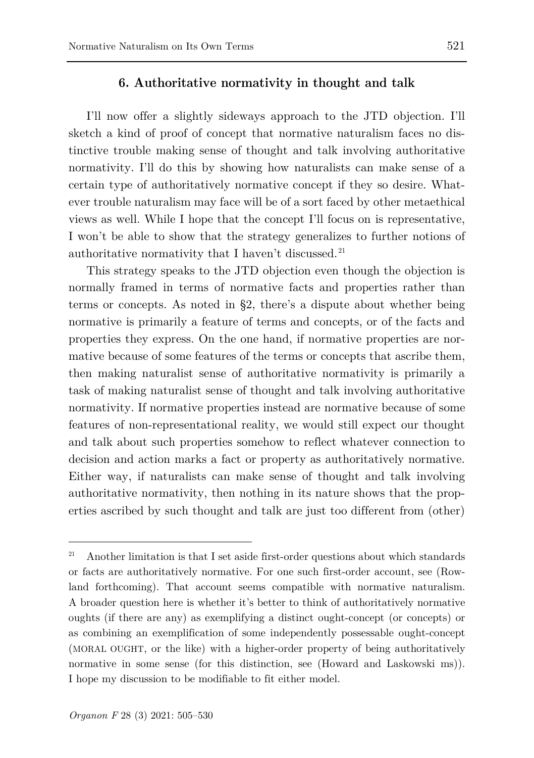I'll now offer a slightly sideways approach to the JTD objection. I'll sketch a kind of proof of concept that normative naturalism faces no distinctive trouble making sense of thought and talk involving authoritative normativity. I'll do this by showing how naturalists can make sense of a certain type of authoritatively normative concept if they so desire. Whatever trouble naturalism may face will be of a sort faced by other metaethical views as well. While I hope that the concept I'll focus on is representative, I won't be able to show that the strategy generalizes to further notions of authoritative normativity that I haven't discussed. [21](#page-16-0)

This strategy speaks to the JTD objection even though the objection is normally framed in terms of normative facts and properties rather than terms or concepts. As noted in §2, there's a dispute about whether being normative is primarily a feature of terms and concepts, or of the facts and properties they express. On the one hand, if normative properties are normative because of some features of the terms or concepts that ascribe them, then making naturalist sense of authoritative normativity is primarily a task of making naturalist sense of thought and talk involving authoritative normativity. If normative properties instead are normative because of some features of non-representational reality, we would still expect our thought and talk about such properties somehow to reflect whatever connection to decision and action marks a fact or property as authoritatively normative. Either way, if naturalists can make sense of thought and talk involving authoritative normativity, then nothing in its nature shows that the properties ascribed by such thought and talk are just too different from (other)

<span id="page-16-0"></span><sup>&</sup>lt;sup>21</sup> Another limitation is that I set aside first-order questions about which standards or facts are authoritatively normative. For one such first-order account, see (Rowland forthcoming). That account seems compatible with normative naturalism. A broader question here is whether it's better to think of authoritatively normative oughts (if there are any) as exemplifying a distinct ought-concept (or concepts) or as combining an exemplification of some independently possessable ought-concept (MORAL OUGHT, or the like) with a higher-order property of being authoritatively normative in some sense (for this distinction, see (Howard and Laskowski ms)). I hope my discussion to be modifiable to fit either model.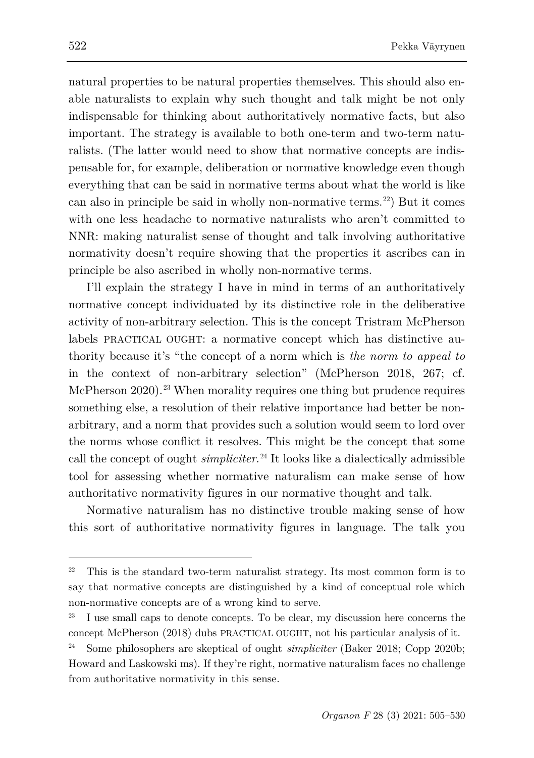natural properties to be natural properties themselves. This should also enable naturalists to explain why such thought and talk might be not only indispensable for thinking about authoritatively normative facts, but also important. The strategy is available to both one-term and two-term naturalists. (The latter would need to show that normative concepts are indispensable for, for example, deliberation or normative knowledge even though everything that can be said in normative terms about what the world is like can also in principle be said in wholly non-normative terms.[22\)](#page-17-0) But it comes with one less headache to normative naturalists who aren't committed to NNR: making naturalist sense of thought and talk involving authoritative normativity doesn't require showing that the properties it ascribes can in principle be also ascribed in wholly non-normative terms.

I'll explain the strategy I have in mind in terms of an authoritatively normative concept individuated by its distinctive role in the deliberative activity of non-arbitrary selection. This is the concept Tristram McPherson labels PRACTICAL OUGHT: a normative concept which has distinctive authority because it's "the concept of a norm which is *the norm to appeal to* in the context of non-arbitrary selection" (McPherson 2018, 267; cf. McPherson  $2020$ .<sup>[23](#page-17-1)</sup> When morality requires one thing but prudence requires something else, a resolution of their relative importance had better be nonarbitrary, and a norm that provides such a solution would seem to lord over the norms whose conflict it resolves. This might be the concept that some call the concept of ought *simpliciter*. [24](#page-17-2) It looks like a dialectically admissible tool for assessing whether normative naturalism can make sense of how authoritative normativity figures in our normative thought and talk.

Normative naturalism has no distinctive trouble making sense of how this sort of authoritative normativity figures in language. The talk you

<span id="page-17-0"></span> $22$  This is the standard two-term naturalist strategy. Its most common form is to say that normative concepts are distinguished by a kind of conceptual role which non-normative concepts are of a wrong kind to serve.

<span id="page-17-1"></span>I use small caps to denote concepts. To be clear, my discussion here concerns the concept McPherson (2018) dubs PRACTICAL OUGHT, not his particular analysis of it.

<span id="page-17-2"></span><sup>24</sup> Some philosophers are skeptical of ought *simpliciter* (Baker 2018; Copp 2020b; Howard and Laskowski ms). If they're right, normative naturalism faces no challenge from authoritative normativity in this sense.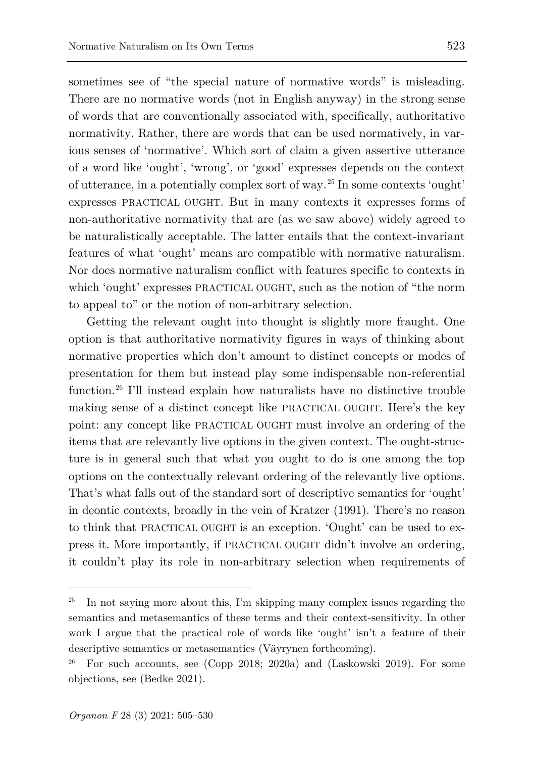sometimes see of "the special nature of normative words" is misleading. There are no normative words (not in English anyway) in the strong sense of words that are conventionally associated with, specifically, authoritative normativity. Rather, there are words that can be used normatively, in various senses of 'normative'. Which sort of claim a given assertive utterance of a word like 'ought', 'wrong', or 'good' expresses depends on the context of utterance, in a potentially complex sort of way.[25](#page-18-0) In some contexts 'ought' expresses PRACTICAL OUGHT. But in many contexts it expresses forms of non-authoritative normativity that are (as we saw above) widely agreed to be naturalistically acceptable. The latter entails that the context-invariant features of what 'ought' means are compatible with normative naturalism. Nor does normative naturalism conflict with features specific to contexts in which 'ought' expresses PRACTICAL OUGHT, such as the notion of "the norm

to appeal to" or the notion of non-arbitrary selection.

Getting the relevant ought into thought is slightly more fraught. One option is that authoritative normativity figures in ways of thinking about normative properties which don't amount to distinct concepts or modes of presentation for them but instead play some indispensable non-referential function.<sup>[26](#page-18-1)</sup> I'll instead explain how naturalists have no distinctive trouble making sense of a distinct concept like PRACTICAL OUGHT. Here's the key point: any concept like PRACTICAL OUGHT must involve an ordering of the items that are relevantly live options in the given context. The ought-structure is in general such that what you ought to do is one among the top options on the contextually relevant ordering of the relevantly live options. That's what falls out of the standard sort of descriptive semantics for 'ought' in deontic contexts, broadly in the vein of Kratzer (1991). There's no reason to think that PRACTICAL OUGHT is an exception. 'Ought' can be used to express it. More importantly, if PRACTICAL OUGHT didn't involve an ordering, it couldn't play its role in non-arbitrary selection when requirements of

<span id="page-18-0"></span><sup>25</sup> In not saying more about this, I'm skipping many complex issues regarding the semantics and metasemantics of these terms and their context-sensitivity. In other work I argue that the practical role of words like 'ought' isn't a feature of their descriptive semantics or metasemantics (Väyrynen forthcoming).

<span id="page-18-1"></span><sup>&</sup>lt;sup>26</sup> For such accounts, see (Copp 2018; 2020a) and (Laskowski 2019). For some objections, see (Bedke 2021).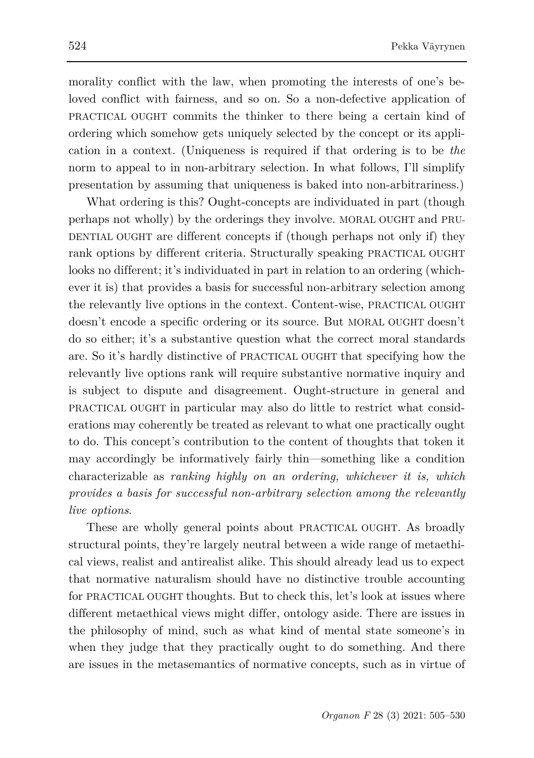morality conflict with the law, when promoting the interests of one's beloved conflict with fairness, and so on. So a non-defective application of PRACTICAL OUGHT commits the thinker to there being a certain kind of ordering which somehow gets uniquely selected by the concept or its application in a context. (Uniqueness is required if that ordering is to be *the* norm to appeal to in non-arbitrary selection. In what follows, I'll simplify presentation by assuming that uniqueness is baked into non-arbitrariness.)

What ordering is this? Ought-concepts are individuated in part (though perhaps not wholly) by the orderings they involve. MORAL OUGHT and PRU-DENTIAL OUGHT are different concepts if (though perhaps not only if) they rank options by different criteria. Structurally speaking PRACTICAL OUGHT looks no different; it's individuated in part in relation to an ordering (whichever it is) that provides a basis for successful non-arbitrary selection among the relevantly live options in the context. Content-wise, PRACTICAL OUGHT doesn't encode a specific ordering or its source. But MORAL OUGHT doesn't do so either; it's a substantive question what the correct moral standards are. So it's hardly distinctive of PRACTICAL OUGHT that specifying how the relevantly live options rank will require substantive normative inquiry and is subject to dispute and disagreement. Ought-structure in general and PRACTICAL OUGHT in particular may also do little to restrict what considerations may coherently be treated as relevant to what one practically ought to do. This concept's contribution to the content of thoughts that token it may accordingly be informatively fairly thin—something like a condition characterizable as *ranking highly on an ordering, whichever it is, which provides a basis for successful non-arbitrary selection among the relevantly live options*.

These are wholly general points about PRACTICAL OUGHT. As broadly structural points, they're largely neutral between a wide range of metaethical views, realist and antirealist alike. This should already lead us to expect that normative naturalism should have no distinctive trouble accounting for PRACTICAL OUGHT thoughts. But to check this, let's look at issues where different metaethical views might differ, ontology aside. There are issues in the philosophy of mind, such as what kind of mental state someone's in when they judge that they practically ought to do something. And there are issues in the metasemantics of normative concepts, such as in virtue of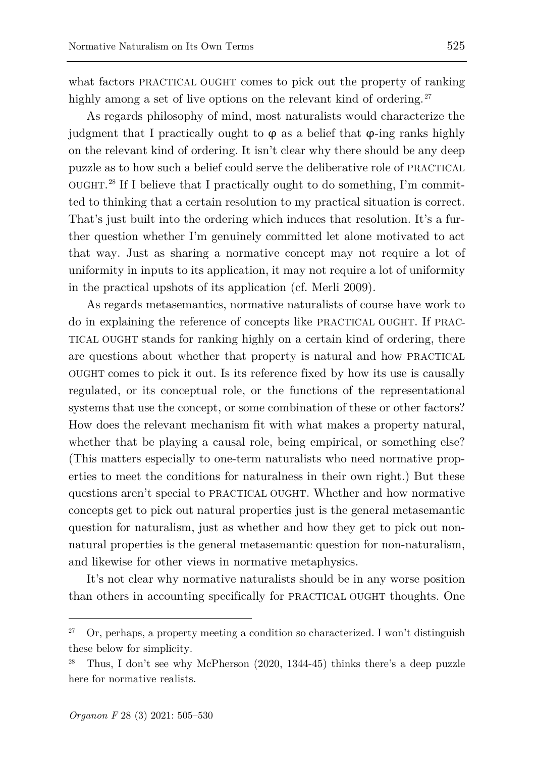what factors PRACTICAL OUGHT comes to pick out the property of ranking highly among a set of live options on the relevant kind of ordering.<sup>[27](#page-20-0)</sup>

As regards philosophy of mind, most naturalists would characterize the judgment that I practically ought to  $\varphi$  as a belief that  $\varphi$ -ing ranks highly on the relevant kind of ordering. It isn't clear why there should be any deep puzzle as to how such a belief could serve the deliberative role of PRACTICAL OUGHT. [28](#page-20-1) If I believe that I practically ought to do something, I'm committed to thinking that a certain resolution to my practical situation is correct. That's just built into the ordering which induces that resolution. It's a further question whether I'm genuinely committed let alone motivated to act that way. Just as sharing a normative concept may not require a lot of uniformity in inputs to its application, it may not require a lot of uniformity in the practical upshots of its application (cf. Merli 2009).

As regards metasemantics, normative naturalists of course have work to do in explaining the reference of concepts like PRACTICAL OUGHT. If PRAC-TICAL OUGHT stands for ranking highly on a certain kind of ordering, there are questions about whether that property is natural and how PRACTICAL OUGHT comes to pick it out. Is its reference fixed by how its use is causally regulated, or its conceptual role, or the functions of the representational systems that use the concept, or some combination of these or other factors? How does the relevant mechanism fit with what makes a property natural, whether that be playing a causal role, being empirical, or something else? (This matters especially to one-term naturalists who need normative properties to meet the conditions for naturalness in their own right.) But these questions aren't special to PRACTICAL OUGHT. Whether and how normative concepts get to pick out natural properties just is the general metasemantic question for naturalism, just as whether and how they get to pick out nonnatural properties is the general metasemantic question for non-naturalism, and likewise for other views in normative metaphysics.

It's not clear why normative naturalists should be in any worse position than others in accounting specifically for PRACTICAL OUGHT thoughts. One

<span id="page-20-0"></span><sup>&</sup>lt;sup>27</sup> Or, perhaps, a property meeting a condition so characterized. I won't distinguish these below for simplicity.

<span id="page-20-1"></span><sup>28</sup> Thus, I don't see why McPherson (2020, 1344-45) thinks there's a deep puzzle here for normative realists.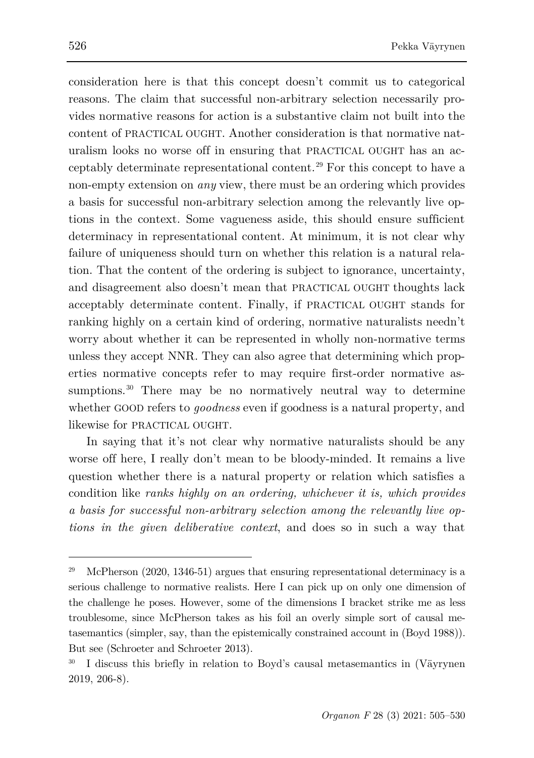consideration here is that this concept doesn't commit us to categorical reasons. The claim that successful non-arbitrary selection necessarily provides normative reasons for action is a substantive claim not built into the content of PRACTICAL OUGHT. Another consideration is that normative naturalism looks no worse off in ensuring that PRACTICAL OUGHT has an acceptably determinate representational content.[29](#page-21-0) For this concept to have a non-empty extension on *any* view, there must be an ordering which provides a basis for successful non-arbitrary selection among the relevantly live options in the context. Some vagueness aside, this should ensure sufficient determinacy in representational content. At minimum, it is not clear why failure of uniqueness should turn on whether this relation is a natural relation. That the content of the ordering is subject to ignorance, uncertainty, and disagreement also doesn't mean that PRACTICAL OUGHT thoughts lack acceptably determinate content. Finally, if PRACTICAL OUGHT stands for ranking highly on a certain kind of ordering, normative naturalists needn't worry about whether it can be represented in wholly non-normative terms unless they accept NNR. They can also agree that determining which properties normative concepts refer to may require first-order normative as-sumptions.<sup>[30](#page-21-1)</sup> There may be no normatively neutral way to determine whether GOOD refers to *goodness* even if goodness is a natural property, and likewise for PRACTICAL OUGHT.

In saying that it's not clear why normative naturalists should be any worse off here, I really don't mean to be bloody-minded. It remains a live question whether there is a natural property or relation which satisfies a condition like *ranks highly on an ordering, whichever it is, which provides a basis for successful non-arbitrary selection among the relevantly live options in the given deliberative context*, and does so in such a way that

<span id="page-21-0"></span><sup>&</sup>lt;sup>29</sup> McPherson (2020, 1346-51) argues that ensuring representational determinacy is a serious challenge to normative realists. Here I can pick up on only one dimension of the challenge he poses. However, some of the dimensions I bracket strike me as less troublesome, since McPherson takes as his foil an overly simple sort of causal metasemantics (simpler, say, than the epistemically constrained account in (Boyd 1988)). But see (Schroeter and Schroeter 2013).

<span id="page-21-1"></span><sup>30</sup> I discuss this briefly in relation to Boyd's causal metasemantics in (Väyrynen 2019, 206-8).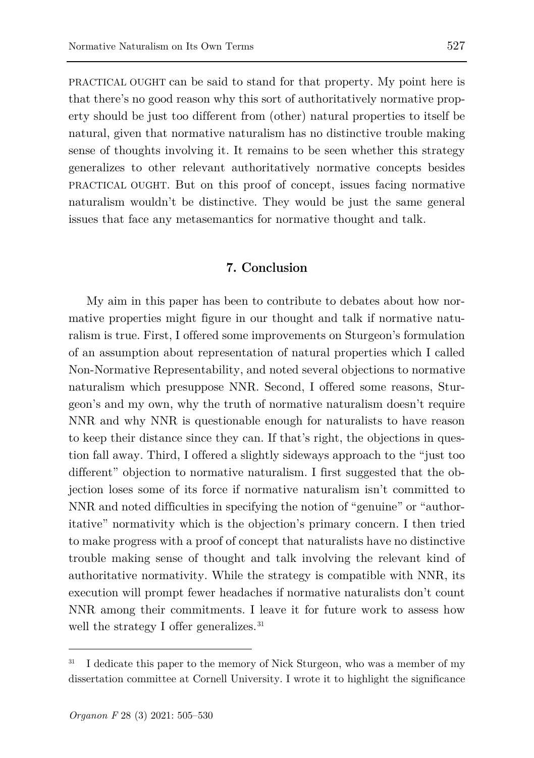PRACTICAL OUGHT can be said to stand for that property. My point here is that there's no good reason why this sort of authoritatively normative property should be just too different from (other) natural properties to itself be natural, given that normative naturalism has no distinctive trouble making sense of thoughts involving it. It remains to be seen whether this strategy generalizes to other relevant authoritatively normative concepts besides PRACTICAL OUGHT. But on this proof of concept, issues facing normative naturalism wouldn't be distinctive. They would be just the same general issues that face any metasemantics for normative thought and talk.

## **7. Conclusion**

My aim in this paper has been to contribute to debates about how normative properties might figure in our thought and talk if normative naturalism is true. First, I offered some improvements on Sturgeon's formulation of an assumption about representation of natural properties which I called Non-Normative Representability, and noted several objections to normative naturalism which presuppose NNR. Second, I offered some reasons, Sturgeon's and my own, why the truth of normative naturalism doesn't require NNR and why NNR is questionable enough for naturalists to have reason to keep their distance since they can. If that's right, the objections in question fall away. Third, I offered a slightly sideways approach to the "just too different" objection to normative naturalism. I first suggested that the objection loses some of its force if normative naturalism isn't committed to NNR and noted difficulties in specifying the notion of "genuine" or "authoritative" normativity which is the objection's primary concern. I then tried to make progress with a proof of concept that naturalists have no distinctive trouble making sense of thought and talk involving the relevant kind of authoritative normativity. While the strategy is compatible with NNR, its execution will prompt fewer headaches if normative naturalists don't count NNR among their commitments. I leave it for future work to assess how well the strategy I offer generalizes.<sup>[31](#page-22-0)</sup>

<span id="page-22-0"></span>I dedicate this paper to the memory of Nick Sturgeon, who was a member of my dissertation committee at Cornell University. I wrote it to highlight the significance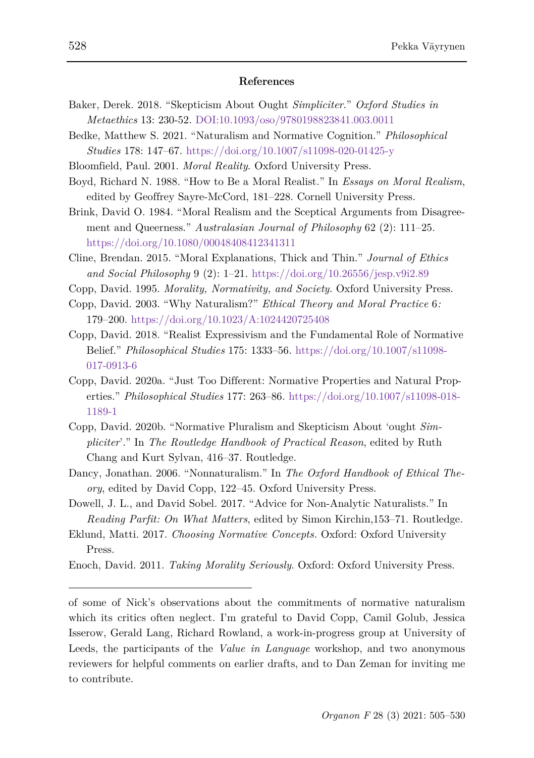#### **References**

- Baker, Derek. 2018. "Skepticism About Ought *Simpliciter*." *Oxford Studies in Metaethics* 13: 230-52. DOI:10.1093/oso/9780198823841.003.0011
- Bedke, Matthew S. 2021. "Naturalism and Normative Cognition." *Philosophical Studies* 178: 147–67.<https://doi.org/10.1007/s11098-020-01425-y>
- Bloomfield, Paul. 2001. *Moral Reality*. Oxford University Press.
- Boyd, Richard N. 1988. "How to Be a Moral Realist." In *Essays on Moral Realism*, edited by Geoffrey Sayre-McCord, 181–228. Cornell University Press.
- Brink, David O. 1984. "Moral Realism and the Sceptical Arguments from Disagreement and Queerness." *Australasian Journal of Philosophy* 62 (2): 111–25. <https://doi.org/10.1080/00048408412341311>
- Cline, Brendan. 2015. "Moral Explanations, Thick and Thin." *Journal of Ethics and Social Philosophy* 9 (2): 1–21. https://doi.org/10.26556/jesp.v9i2.89
- Copp, David. 1995. *Morality, Normativity, and Society*. Oxford University Press.
- Copp, David. 2003. "Why Naturalism?" *Ethical Theory and Moral Practice* 6*:* 179–200.<https://doi.org/10.1023/A:1024420725408>
- Copp, David. 2018. "Realist Expressivism and the Fundamental Role of Normative Belief." *Philosophical Studies* 175: 1333–56. [https://doi.org/10.1007/s11098-](https://doi.org/10.1007/s11098-017-0913-6) [017-0913-6](https://doi.org/10.1007/s11098-017-0913-6)
- Copp, David. 2020a. "Just Too Different: Normative Properties and Natural Properties." *Philosophical Studies* 177: 263–86. [https://doi.org/10.1007/s11098-018-](https://doi.org/10.1007/s11098-018-1189-1) [1189-1](https://doi.org/10.1007/s11098-018-1189-1)
- Copp, David. 2020b. "Normative Pluralism and Skepticism About 'ought *Simpliciter*'." In *The Routledge Handbook of Practical Reason*, edited by Ruth Chang and Kurt Sylvan, 416–37. Routledge.
- Dancy, Jonathan. 2006. "Nonnaturalism." In *The Oxford Handbook of Ethical Theory*, edited by David Copp, 122–45. Oxford University Press.
- Dowell, J. L., and David Sobel. 2017. "Advice for Non-Analytic Naturalists." In *Reading Parfit: On What Matters*, edited by Simon Kirchin,153–71. Routledge.
- Eklund, Matti. 2017. *Choosing Normative Concepts.* Oxford: Oxford University Press.
- Enoch, David. 2011. *Taking Morality Seriously*. Oxford: Oxford University Press.

of some of Nick's observations about the commitments of normative naturalism which its critics often neglect. I'm grateful to David Copp, Camil Golub, Jessica Isserow, Gerald Lang, Richard Rowland, a work-in-progress group at University of Leeds, the participants of the *Value in Language* workshop, and two anonymous reviewers for helpful comments on earlier drafts, and to Dan Zeman for inviting me to contribute.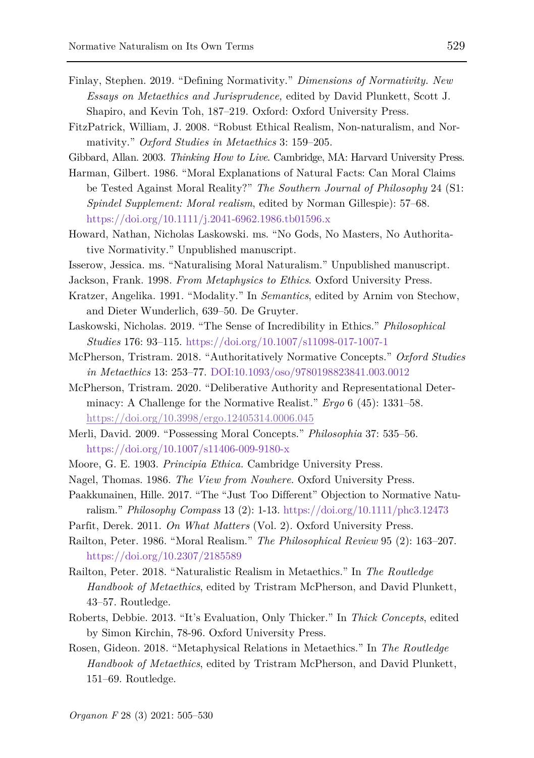- Finlay, Stephen. 2019. "Defining Normativity." *Dimensions of Normativity. New Essays on Metaethics and Jurisprudence,* edited by David Plunkett, Scott J. Shapiro, and Kevin Toh, 187–219. Oxford: Oxford University Press.
- FitzPatrick, William, J. 2008. "Robust Ethical Realism, Non-naturalism, and Normativity." *Oxford Studies in Metaethics* 3: 159–205.
- Gibbard, Allan. 2003. *Thinking How to Live*. Cambridge, MA: Harvard University Press.
- Harman, Gilbert. 1986. "Moral Explanations of Natural Facts: Can Moral Claims be Tested Against Moral Reality?" *The Southern Journal of Philosophy* 24 (S1: *Spindel Supplement: Moral realism*, edited by Norman Gillespie): 57–68. <https://doi.org/10.1111/j.2041-6962.1986.tb01596.x>
- Howard, Nathan, Nicholas Laskowski. ms. "No Gods, No Masters, No Authoritative Normativity." Unpublished manuscript.
- Isserow, Jessica. ms. "Naturalising Moral Naturalism." Unpublished manuscript.
- Jackson, Frank. 1998. *From Metaphysics to Ethics*. Oxford University Press.
- Kratzer, Angelika. 1991. "Modality." In *Semantics*, edited by Arnim von Stechow, and Dieter Wunderlich, 639–50. De Gruyter.
- Laskowski, Nicholas. 2019. "The Sense of Incredibility in Ethics." *Philosophical Studies* 176: 93–115.<https://doi.org/10.1007/s11098-017-1007-1>
- McPherson, Tristram. 2018. "Authoritatively Normative Concepts." *Oxford Studies in Metaethics* 13: 253–77. DOI:10.1093/oso/9780198823841.003.0012
- McPherson, Tristram. 2020. "Deliberative Authority and Representational Determinacy: A Challenge for the Normative Realist." *Ergo* 6 (45): 1331–58. <https://doi.org/10.3998/ergo.12405314.0006.045>
- Merli, David. 2009. "Possessing Moral Concepts." *Philosophia* 37: 535–56. <https://doi.org/10.1007/s11406-009-9180-x>
- Moore, G. E. 1903. *Principia Ethica.* Cambridge University Press.
- Nagel, Thomas. 1986. *The View from Nowhere*. Oxford University Press.
- Paakkunainen, Hille. 2017. "The "Just Too Different" Objection to Normative Naturalism." *Philosophy Compass* 13 (2): 1-13. <https://doi.org/10.1111/phc3.12473>
- Parfit, Derek. 2011. *On What Matters* (Vol. 2). Oxford University Press.
- Railton, Peter. 1986. "Moral Realism." *The Philosophical Review* 95 (2): 163–207. <https://doi.org/10.2307/2185589>
- Railton, Peter. 2018. "Naturalistic Realism in Metaethics." In *The Routledge Handbook of Metaethics*, edited by Tristram McPherson, and David Plunkett, 43–57. Routledge.
- Roberts, Debbie. 2013. "It's Evaluation, Only Thicker." In *Thick Concepts*, edited by Simon Kirchin, 78-96. Oxford University Press.
- Rosen, Gideon. 2018. "Metaphysical Relations in Metaethics." In *The Routledge Handbook of Metaethics*, edited by Tristram McPherson, and David Plunkett, 151–69. Routledge.